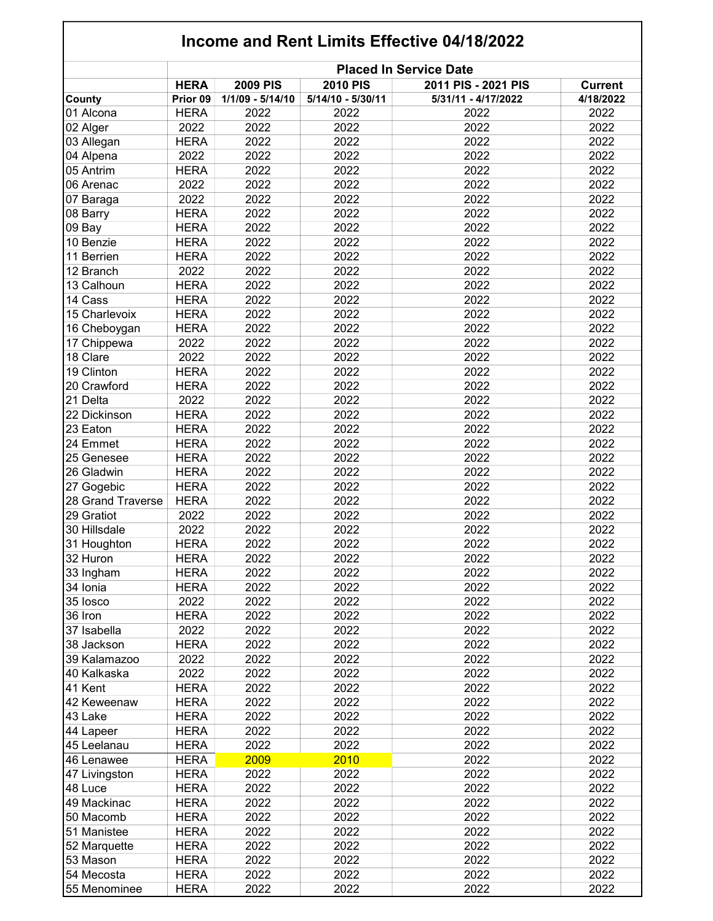| Income and Rent Limits Effective 04/18/2022 |                               |                  |                   |                     |                |  |  |  |
|---------------------------------------------|-------------------------------|------------------|-------------------|---------------------|----------------|--|--|--|
|                                             | <b>Placed In Service Date</b> |                  |                   |                     |                |  |  |  |
|                                             | <b>HERA</b>                   | <b>2009 PIS</b>  | <b>2010 PIS</b>   | 2011 PIS - 2021 PIS | <b>Current</b> |  |  |  |
| County                                      | Prior 09                      | 1/1/09 - 5/14/10 | 5/14/10 - 5/30/11 | 5/31/11 - 4/17/2022 | 4/18/2022      |  |  |  |
| 01 Alcona                                   | <b>HERA</b>                   | 2022             | 2022              | 2022                | 2022           |  |  |  |
| 02 Alger                                    | 2022                          | 2022             | 2022              | 2022                | 2022           |  |  |  |
| 03 Allegan                                  | <b>HERA</b>                   | 2022             | 2022              | 2022                | 2022           |  |  |  |
| 04 Alpena                                   | 2022                          | 2022             | 2022              | 2022                | 2022           |  |  |  |
| 05 Antrim                                   | <b>HERA</b>                   | 2022             | 2022              | 2022                | 2022           |  |  |  |
| 06 Arenac                                   | 2022                          | 2022             | 2022              | 2022                | 2022           |  |  |  |
| 07 Baraga                                   | 2022                          | 2022             | 2022              | 2022                | 2022           |  |  |  |
| 08 Barry                                    | <b>HERA</b>                   | 2022             | 2022              | 2022                | 2022           |  |  |  |
| 09 Bay                                      | <b>HERA</b>                   | 2022             | 2022              | 2022                | 2022           |  |  |  |
| 10 Benzie                                   | <b>HERA</b>                   | 2022             | 2022              | 2022                | 2022           |  |  |  |
| 11 Berrien                                  | <b>HERA</b>                   | 2022             | 2022              | 2022                | 2022           |  |  |  |
| 12 Branch                                   | 2022                          | 2022             | 2022              | 2022                | 2022           |  |  |  |
| 13 Calhoun                                  | <b>HERA</b>                   | 2022             | 2022              | 2022                | 2022           |  |  |  |
| 14 Cass                                     | <b>HERA</b>                   | 2022             | 2022              | 2022                | 2022           |  |  |  |
| 15 Charlevoix                               | <b>HERA</b>                   | 2022             | 2022              | 2022                | 2022           |  |  |  |
|                                             |                               |                  |                   |                     |                |  |  |  |
| 16 Cheboygan                                | <b>HERA</b>                   | 2022<br>2022     | 2022              | 2022                | 2022           |  |  |  |
| 17 Chippewa                                 | 2022                          |                  | 2022              | 2022                | 2022           |  |  |  |
| 18 Clare                                    | 2022                          | 2022             | 2022              | 2022                | 2022           |  |  |  |
| 19 Clinton                                  | <b>HERA</b>                   | 2022             | 2022              | 2022                | 2022           |  |  |  |
| 20 Crawford                                 | <b>HERA</b>                   | 2022             | 2022              | 2022                | 2022           |  |  |  |
| 21 Delta                                    | 2022                          | 2022             | 2022              | 2022                | 2022           |  |  |  |
| 22 Dickinson                                | <b>HERA</b>                   | 2022             | 2022              | 2022                | 2022           |  |  |  |
| 23 Eaton                                    | <b>HERA</b>                   | 2022             | 2022              | 2022                | 2022           |  |  |  |
| 24 Emmet                                    | <b>HERA</b>                   | 2022             | 2022              | 2022                | 2022           |  |  |  |
| 25 Genesee                                  | <b>HERA</b>                   | 2022             | 2022              | 2022                | 2022           |  |  |  |
| 26 Gladwin                                  | <b>HERA</b>                   | 2022             | 2022              | 2022                | 2022           |  |  |  |
| 27 Gogebic                                  | <b>HERA</b>                   | 2022             | 2022              | 2022                | 2022           |  |  |  |
| 28 Grand Traverse                           | <b>HERA</b>                   | 2022             | 2022              | 2022                | 2022           |  |  |  |
| 29 Gratiot                                  | 2022                          | 2022             | 2022              | 2022                | 2022           |  |  |  |
| 30 Hillsdale                                | 2022                          | 2022             | 2022              | 2022                | 2022           |  |  |  |
| 31 Houghton                                 | HERA                          | 2022             | 2022              | 2022                | 2022           |  |  |  |
| 32 Huron                                    | <b>HERA</b>                   | 2022             | 2022              | 2022                | 2022           |  |  |  |
| 33 Ingham                                   | <b>HERA</b>                   | 2022             | 2022              | 2022                | 2022           |  |  |  |
| 34 Ionia                                    | <b>HERA</b>                   | 2022             | 2022              | 2022                | 2022           |  |  |  |
| 35 losco                                    | 2022                          | 2022             | 2022              | 2022                | 2022           |  |  |  |
| 36 Iron                                     | <b>HERA</b>                   | 2022             | 2022              | 2022                | 2022           |  |  |  |
| 37 Isabella                                 | 2022                          | 2022             | 2022              | 2022                | 2022           |  |  |  |
|                                             | <b>HERA</b>                   | 2022             |                   | 2022                | 2022           |  |  |  |
| 38 Jackson                                  |                               |                  | 2022              |                     |                |  |  |  |
| 39 Kalamazoo                                | 2022                          | 2022             | 2022              | 2022                | 2022           |  |  |  |
| 40 Kalkaska                                 | 2022                          | 2022             | 2022              | 2022                | 2022           |  |  |  |
| 41 Kent                                     | <b>HERA</b>                   | 2022             | 2022              | 2022                | 2022           |  |  |  |
| 42 Keweenaw                                 | <b>HERA</b>                   | 2022             | 2022              | 2022                | 2022           |  |  |  |
| 43 Lake                                     | <b>HERA</b>                   | 2022             | 2022              | 2022                | 2022           |  |  |  |
| 44 Lapeer                                   | <b>HERA</b>                   | 2022             | 2022              | 2022                | 2022           |  |  |  |
| 45 Leelanau                                 | <b>HERA</b>                   | 2022             | 2022              | 2022                | 2022           |  |  |  |
| 46 Lenawee                                  | <b>HERA</b>                   | 2009             | 2010              | 2022                | 2022           |  |  |  |
| 47 Livingston                               | <b>HERA</b>                   | 2022             | 2022              | 2022                | 2022           |  |  |  |
| 48 Luce                                     | <b>HERA</b>                   | 2022             | 2022              | 2022                | 2022           |  |  |  |
| 49 Mackinac                                 | <b>HERA</b>                   | 2022             | 2022              | 2022                | 2022           |  |  |  |
| 50 Macomb                                   | <b>HERA</b>                   | 2022             | 2022              | 2022                | 2022           |  |  |  |
| 51 Manistee                                 | <b>HERA</b>                   | 2022             | 2022              | 2022                | 2022           |  |  |  |
| 52 Marquette                                | <b>HERA</b>                   | 2022             | 2022              | 2022                | 2022           |  |  |  |
| 53 Mason                                    | <b>HERA</b>                   | 2022             | 2022              | 2022                | 2022           |  |  |  |
| 54 Mecosta                                  | <b>HERA</b>                   | 2022             | 2022              | 2022                | 2022           |  |  |  |
| 55 Menominee                                | <b>HERA</b>                   | 2022             | 2022              | 2022                | 2022           |  |  |  |
|                                             |                               |                  |                   |                     |                |  |  |  |